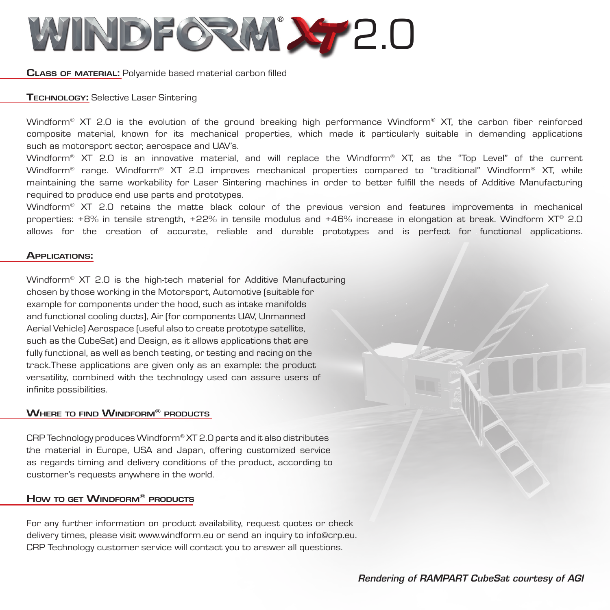

**Class of material:** Polyamide based material carbon filled

## **Technology:** Selective Laser Sintering

Windform<sup>®</sup> XT 2.0 is the evolution of the ground breaking high performance Windform® XT, the carbon fiber reinforced composite material, known for its mechanical properties, which made it particularly suitable in demanding applications such as motorsport sector, aerospace and UAV's.

Windform® XT 2.0 is an innovative material, and will replace the Windform® XT, as the "Top Level" of the current Windform® range. Windform® XT 2.0 improves mechanical properties compared to "traditional" Windform® XT, while maintaining the same workability for Laser Sintering machines in order to better fulfill the needs of Additive Manufacturing required to produce end use parts and prototypes.

Windform<sup>®</sup> XT 2.0 retains the matte black colour of the previous version and features improvements in mechanical properties: +8% in tensile strength, +22% in tensile modulus and +46% increase in elongation at break. Windform XT® 2.0 allows for the creation of accurate, reliable and durable prototypes and is perfect for functional applications.

### **Applications:**

Windform<sup>®</sup> XT 2.0 is the high-tech material for Additive Manufacturing chosen by those working in the Motorsport, Automotive (suitable for example for components under the hood, such as intake manifolds and functional cooling ducts), Air (for components UAV, Unmanned Aerial Vehicle) Aerospace (useful also to create prototype satellite, such as the CubeSat) and Design, as it allows applications that are fully functional, as well as bench testing, or testing and racing on the track.These applications are given only as an example: the product versatility, combined with the technology used can assure users of infinite possibilities.

### **Where to find Windform® products**

CRP Technology produces Windform<sup>®</sup> XT 2.0 parts and it also distributes the material in Europe, USA and Japan, offering customized service as regards timing and delivery conditions of the product, according to customer's requests anywhere in the world.

# **How to get Windform® products**

For any further information on product availability, request quotes or check delivery times, please visit www.windform.eu or send an inquiry to info@crp.eu. CRP Technology customer service will contact you to answer all questions.